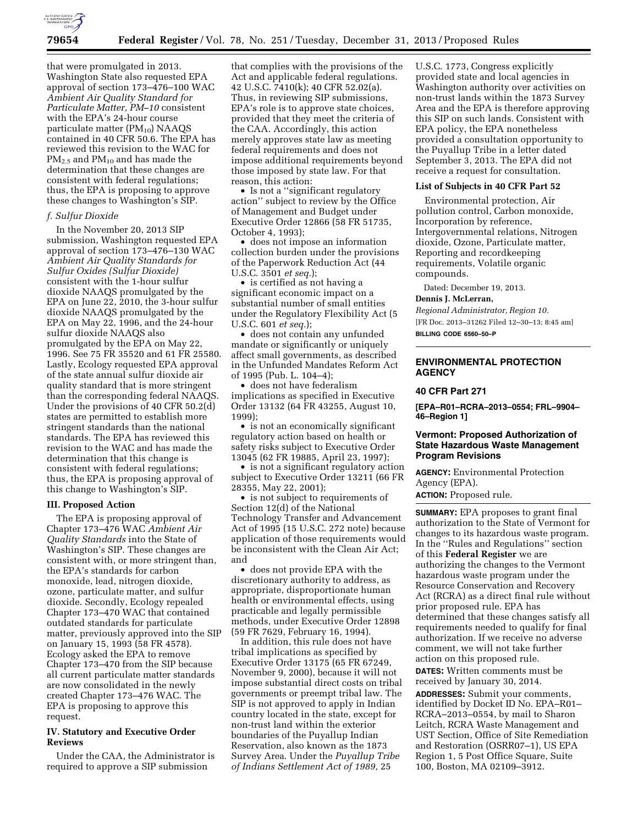

that were promulgated in 2013. Washington State also requested EPA approval of section 173–476–100 WAC *Ambient Air Quality Standard for Particulate Matter, PM–10* consistent with the EPA's 24-hour course particulate matter  $(PM_{10})$  NAAQS contained in 40 CFR 50.6. The EPA has reviewed this revision to the WAC for  $PM_{2.5}$  and  $PM_{10}$  and has made the determination that these changes are consistent with federal regulations; thus, the EPA is proposing to approve these changes to Washington's SIP.

#### *f. Sulfur Dioxide*

In the November 20, 2013 SIP submission, Washington requested EPA approval of section 173–476–130 WAC *Ambient Air Quality Standards for Sulfur Oxides (Sulfur Dioxide)*  consistent with the 1-hour sulfur dioxide NAAQS promulgated by the EPA on June 22, 2010, the 3-hour sulfur dioxide NAAQS promulgated by the EPA on May 22, 1996, and the 24-hour sulfur dioxide NAAQS also promulgated by the EPA on May 22, 1996. See 75 FR 35520 and 61 FR 25580. Lastly, Ecology requested EPA approval of the state annual sulfur dioxide air quality standard that is more stringent than the corresponding federal NAAQS. Under the provisions of 40 CFR 50.2(d) states are permitted to establish more stringent standards than the national standards. The EPA has reviewed this revision to the WAC and has made the determination that this change is consistent with federal regulations; thus, the EPA is proposing approval of this change to Washington's SIP.

#### **III. Proposed Action**

The EPA is proposing approval of Chapter 173–476 WAC *Ambient Air Quality Standards* into the State of Washington's SIP. These changes are consistent with, or more stringent than, the EPA's standards for carbon monoxide, lead, nitrogen dioxide, ozone, particulate matter, and sulfur dioxide. Secondly, Ecology repealed Chapter 173–470 WAC that contained outdated standards for particulate matter, previously approved into the SIP on January 15, 1993 (58 FR 4578). Ecology asked the EPA to remove Chapter 173–470 from the SIP because all current particulate matter standards are now consolidated in the newly created Chapter 173–476 WAC. The EPA is proposing to approve this request.

## **IV. Statutory and Executive Order Reviews**

Under the CAA, the Administrator is required to approve a SIP submission

that complies with the provisions of the Act and applicable federal regulations. 42 U.S.C. 7410(k); 40 CFR 52.02(a). Thus, in reviewing SIP submissions, EPA's role is to approve state choices, provided that they meet the criteria of the CAA. Accordingly, this action merely approves state law as meeting federal requirements and does not impose additional requirements beyond those imposed by state law. For that reason, this action:

• Is not a ''significant regulatory action'' subject to review by the Office of Management and Budget under Executive Order 12866 (58 FR 51735, October 4, 1993);

• does not impose an information collection burden under the provisions of the Paperwork Reduction Act (44 U.S.C. 3501 *et seq.*);

• is certified as not having a significant economic impact on a substantial number of small entities under the Regulatory Flexibility Act (5 U.S.C. 601 *et seq.*);

• does not contain any unfunded mandate or significantly or uniquely affect small governments, as described in the Unfunded Mandates Reform Act of 1995 (Pub. L. 104–4);

• does not have federalism implications as specified in Executive Order 13132 (64 FR 43255, August 10, 1999);

• is not an economically significant regulatory action based on health or safety risks subject to Executive Order 13045 (62 FR 19885, April 23, 1997);

• is not a significant regulatory action subject to Executive Order 13211 (66 FR 28355, May 22, 2001);

• is not subject to requirements of Section 12(d) of the National Technology Transfer and Advancement Act of 1995 (15 U.S.C. 272 note) because application of those requirements would be inconsistent with the Clean Air Act; and

• does not provide EPA with the discretionary authority to address, as appropriate, disproportionate human health or environmental effects, using practicable and legally permissible methods, under Executive Order 12898 (59 FR 7629, February 16, 1994).

In addition, this rule does not have tribal implications as specified by Executive Order 13175 (65 FR 67249, November 9, 2000), because it will not impose substantial direct costs on tribal governments or preempt tribal law. The SIP is not approved to apply in Indian country located in the state, except for non-trust land within the exterior boundaries of the Puyallup Indian Reservation, also known as the 1873 Survey Area. Under the *Puyallup Tribe of Indians Settlement Act of 1989,* 25

U.S.C. 1773, Congress explicitly provided state and local agencies in Washington authority over activities on non-trust lands within the 1873 Survey Area and the EPA is therefore approving this SIP on such lands. Consistent with EPA policy, the EPA nonetheless provided a consultation opportunity to the Puyallup Tribe in a letter dated September 3, 2013. The EPA did not receive a request for consultation.

#### **List of Subjects in 40 CFR Part 52**

Environmental protection, Air pollution control, Carbon monoxide, Incorporation by reference, Intergovernmental relations, Nitrogen dioxide, Ozone, Particulate matter, Reporting and recordkeeping requirements, Volatile organic compounds.

Dated: December 19, 2013.

#### **Dennis J. McLerran,**

*Regional Administrator, Region 10.*  [FR Doc. 2013–31262 Filed 12–30–13; 8:45 am] **BILLING CODE 6560–50–P** 

### **ENVIRONMENTAL PROTECTION AGENCY**

## **40 CFR Part 271**

**[EPA–R01–RCRA–2013–0554; FRL–9904– 46–Region 1]** 

## **Vermont: Proposed Authorization of State Hazardous Waste Management Program Revisions**

**AGENCY:** Environmental Protection Agency (EPA).

**ACTION:** Proposed rule.

**SUMMARY:** EPA proposes to grant final authorization to the State of Vermont for changes to its hazardous waste program. In the ''Rules and Regulations'' section of this **Federal Register** we are authorizing the changes to the Vermont hazardous waste program under the Resource Conservation and Recovery Act (RCRA) as a direct final rule without prior proposed rule. EPA has determined that these changes satisfy all requirements needed to qualify for final authorization. If we receive no adverse comment, we will not take further action on this proposed rule.

**DATES:** Written comments must be received by January 30, 2014.

**ADDRESSES:** Submit your comments, identified by Docket ID No. EPA–R01– RCRA–2013–0554, by mail to Sharon Leitch, RCRA Waste Management and UST Section, Office of Site Remediation and Restoration (OSRR07–1), US EPA Region 1, 5 Post Office Square, Suite 100, Boston, MA 02109–3912.